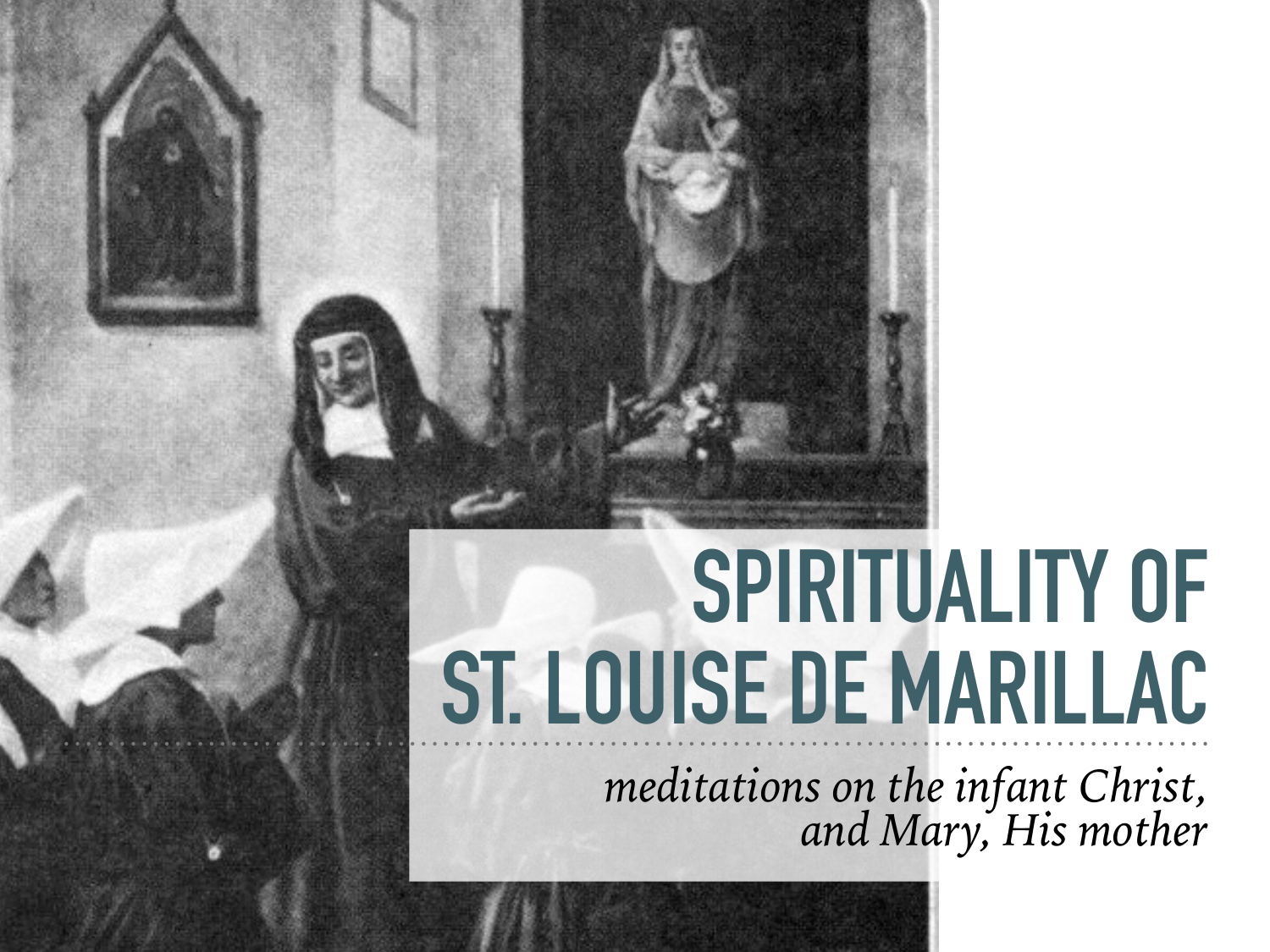# **SPIRITUALITY OF ST. LOUISE DE MARILLAC**

*meditations on the infant Christ, and Mary, His mother*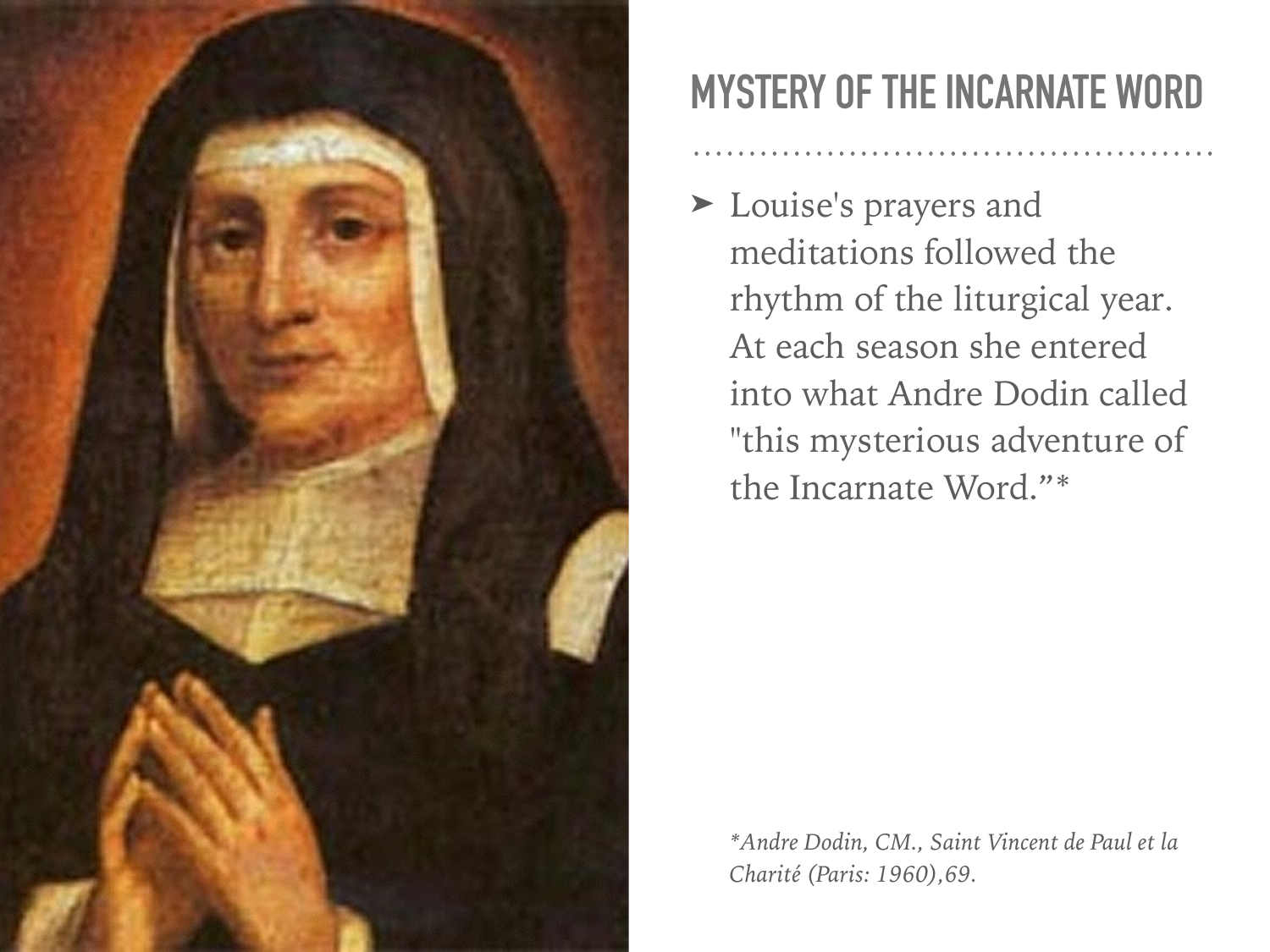

#### **MYSTERY OF THE INCARNATE WORD**

➤ Louise's prayers and meditations followed the rhythm of the liturgical year. At each season she entered into what Andre Dodin called "this mysterious adventure of the Incarnate Word."\*

*\*Andre Dodin, CM., Saint Vincent de Paul et la Charité (Paris: 1960),69.*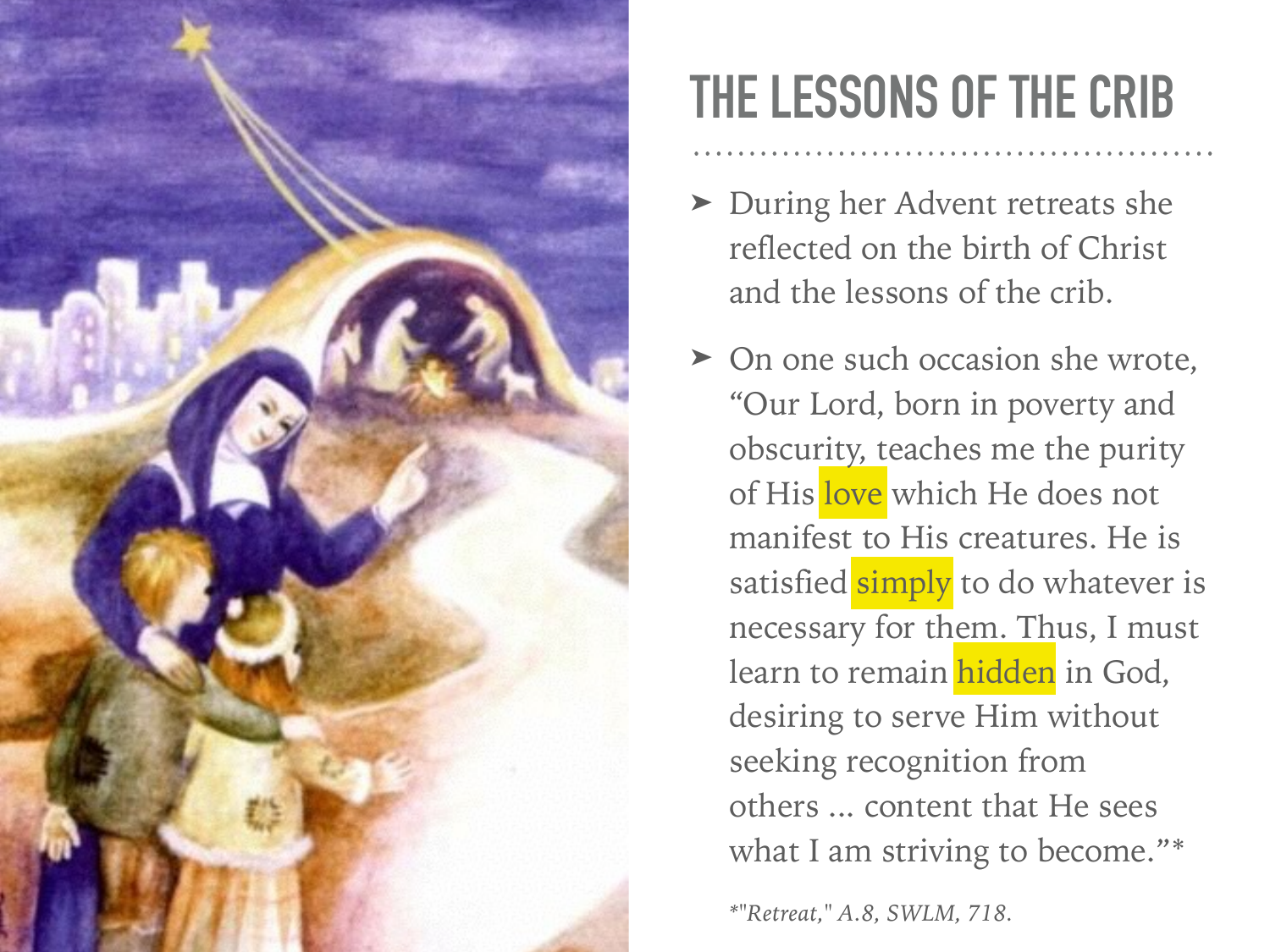

### **THE LESSONS OF THE CRIB**

- ➤ During her Advent retreats she reflected on the birth of Christ and the lessons of the crib.
- ➤ On one such occasion she wrote, "Our Lord, born in poverty and obscurity, teaches me the purity of His love which He does not manifest to His creatures. He is satisfied simply to do whatever is necessary for them. Thus, I must learn to remain hidden in God, desiring to serve Him without seeking recognition from others ... content that He sees what I am striving to become."\*

*\*"Retreat," A.8, SWLM, 718.*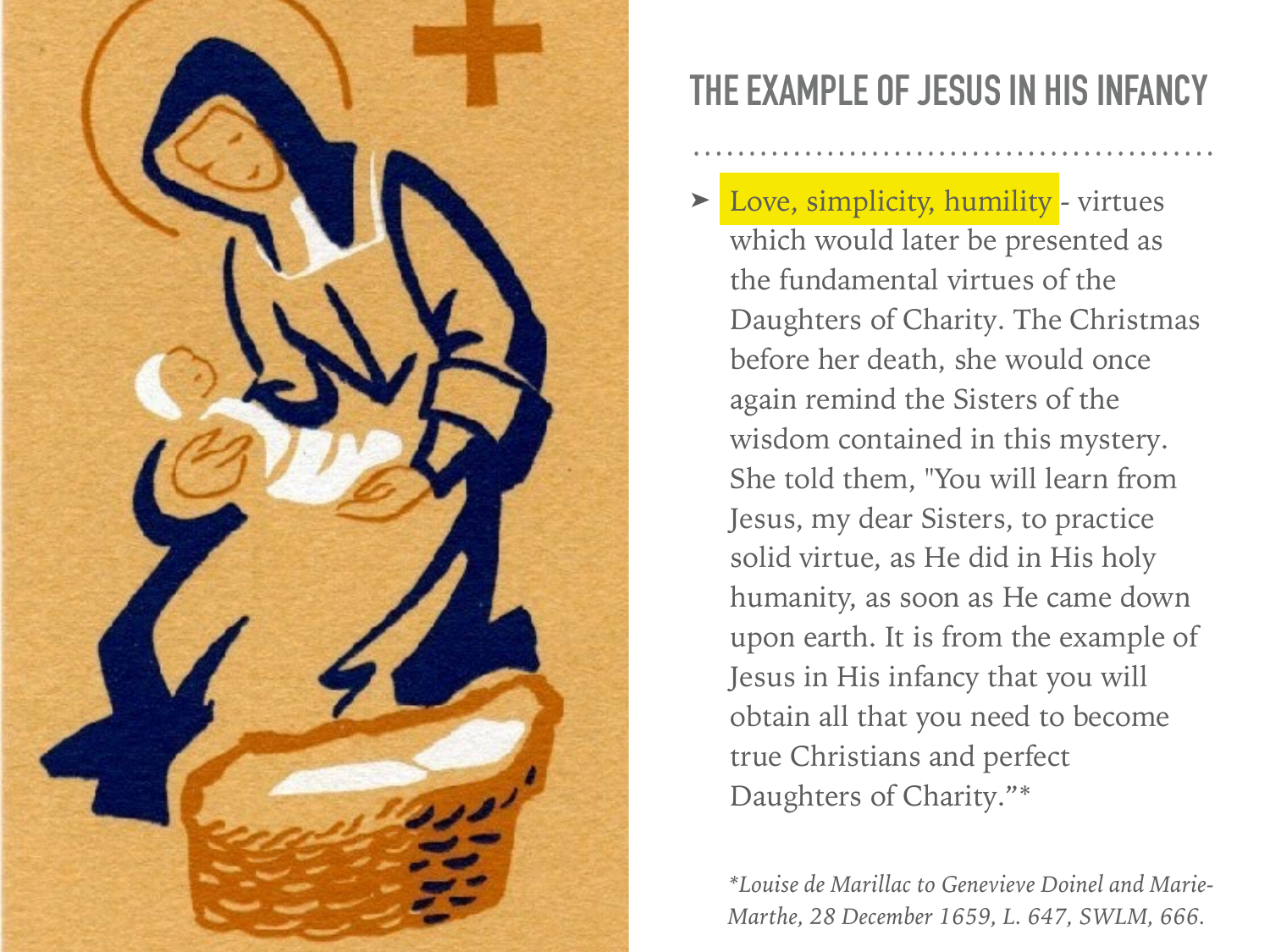

#### **THE EXAMPLE OF JESUS IN HIS INFANCY**

Love, simplicity, humility - virtues which would later be presented as the fundamental virtues of the Daughters of Charity. The Christmas before her death, she would once again remind the Sisters of the wisdom contained in this mystery. She told them, "You will learn from Jesus, my dear Sisters, to practice solid virtue, as He did in His holy humanity, as soon as He came down upon earth. It is from the example of Jesus in His infancy that you will obtain all that you need to become true Christians and perfect Daughters of Charity."\*

*\*Louise de Marillac to Genevieve Doinel and Marie-Marthe, 28 December 1659, L. 647, SWLM, 666.*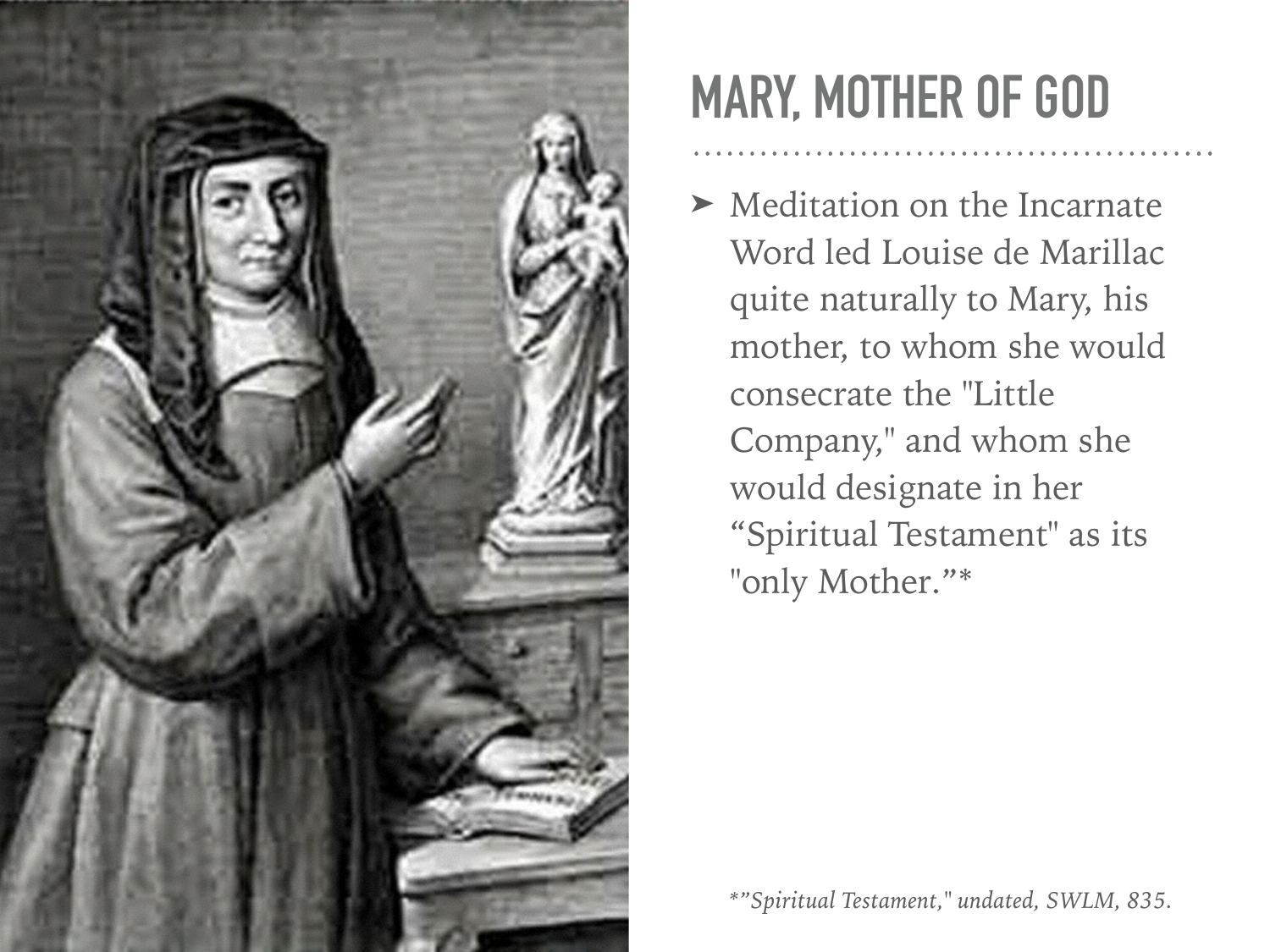

### **MARY, MOTHER OF GOD**

➤ Meditation on the Incarnate Word led Louise de Marillac quite naturally to Mary, his mother, to whom she would consecrate the "Little Company," and whom she would designate in her "Spiritual Testament" as its "only Mother."\*

*\*"Spiritual Testament," undated, SWLM, 835.*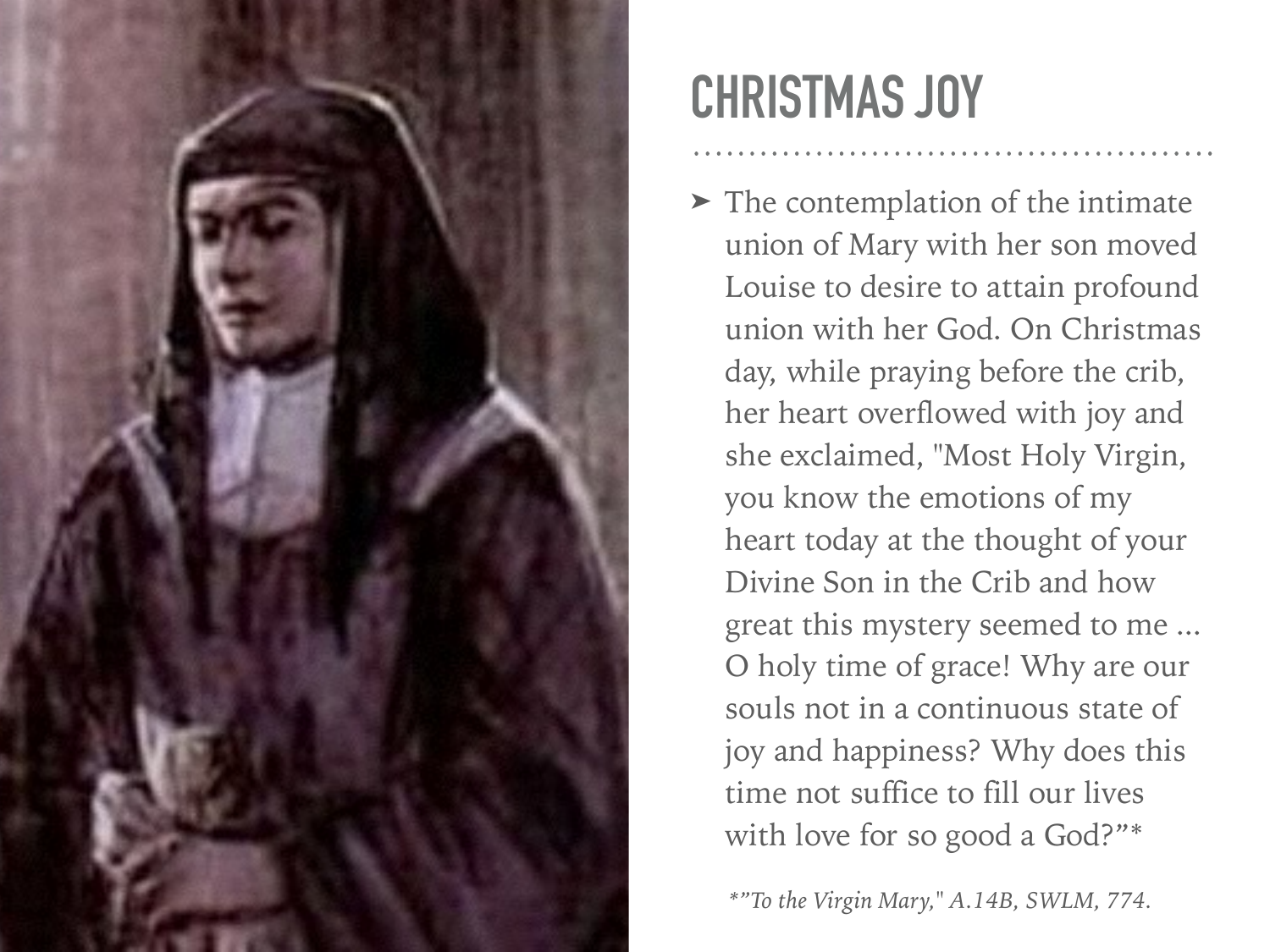

# **CHRISTMAS JOY**

➤ The contemplation of the intimate union of Mary with her son moved Louise to desire to attain profound union with her God. On Christmas day, while praying before the crib, her heart overflowed with joy and she exclaimed, "Most Holy Virgin, you know the emotions of my heart today at the thought of your Divine Son in the Crib and how great this mystery seemed to me ... O holy time of grace! Why are our souls not in a continuous state of joy and happiness? Why does this time not suffice to fill our lives with love for so good a God?"\*

*\*"To the Virgin Mary," A.14B, SWLM, 774.*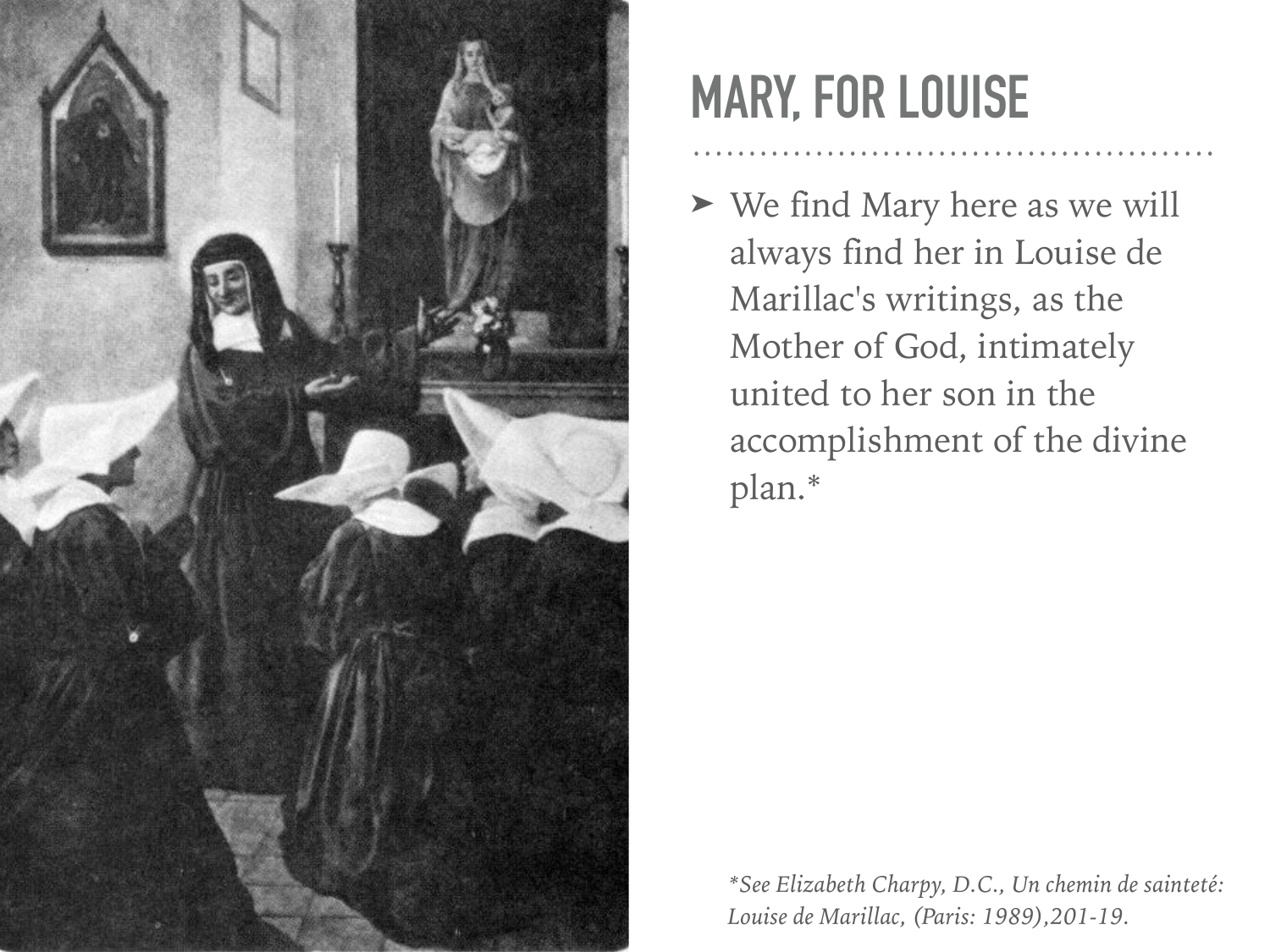

### **MARY, FOR LOUISE**

➤ We find Mary here as we will always find her in Louise de Marillac's writings, as the Mother of God, intimately united to her son in the accomplishment of the divine plan.\*

*\*See Elizabeth Charpy, D.C., Un chemin de sainteté: Louise de Marillac, (Paris: 1989),201-19.*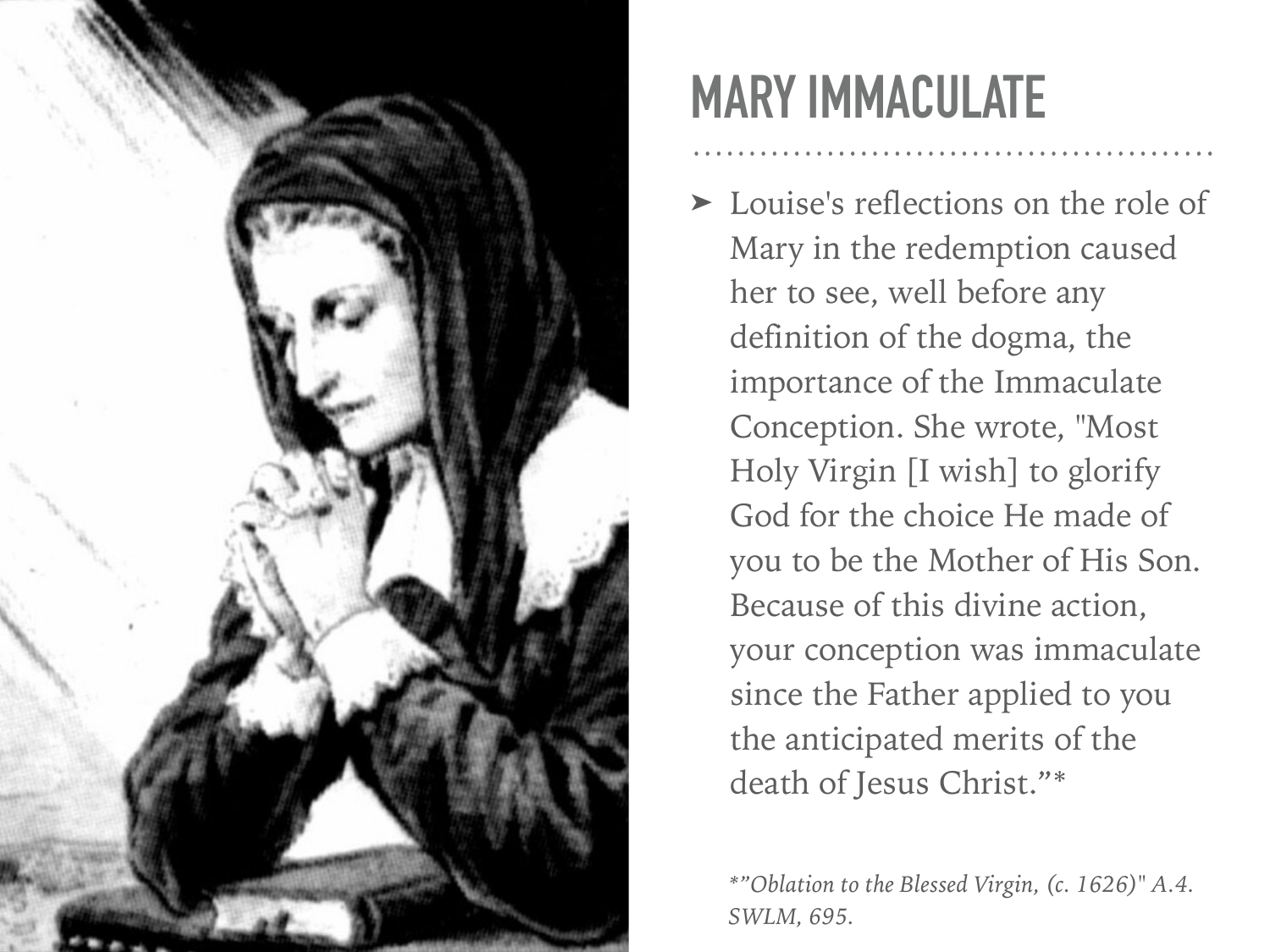

## **MARY IMMACULATE**

➤ Louise's reflections on the role of Mary in the redemption caused her to see, well before any definition of the dogma, the importance of the Immaculate Conception. She wrote, "Most Holy Virgin [I wish] to glorify God for the choice He made of you to be the Mother of His Son. Because of this divine action, your conception was immaculate since the Father applied to you the anticipated merits of the death of Jesus Christ."\*

*\*"Oblation to the Blessed Virgin, (c. 1626)" A.4. SWLM, 695.*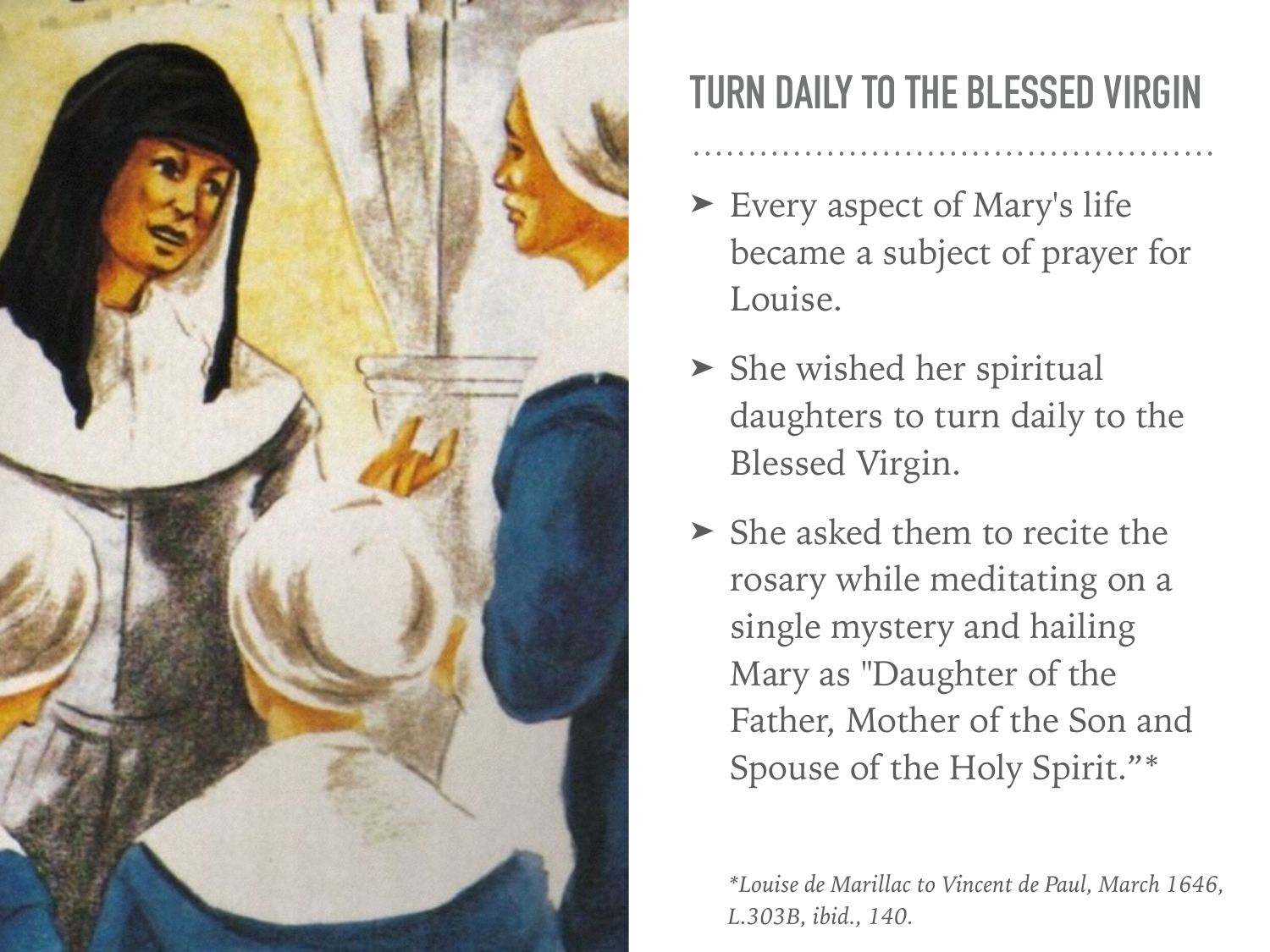

#### **TURN DAILY TO THE BLESSED VIRGIN**

- ► Every aspect of Mary's life became a subject of prayer for Louise.
- ➤ She wished her spiritual daughters to turn daily to the Blessed Virgin.
- ➤ She asked them to recite the rosary while meditating on a single mystery and hailing Mary as "Daughter of the Father, Mother of the Son and Spouse of the Holy Spirit."\*

*\*Louise de Marillac to Vincent de Paul, March 1646, L.303B, ibid., 140.*